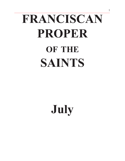# **FRANCISCAN PROPER of the SAINTS**

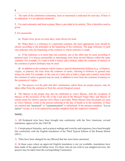1. The rank of the celebration (solemnity, feast or memorial) is indicated for each day. If there is no indication, it is an optional memorial.

2. For each solemnity and feast a proper Mass is provided in its entirety. This is therefore used as given.

3. For memorials:

a) Proper texts, given on some days, must always be used;

b) When there is a reference to a particular common, the most appropriate texts should be chosen according to the principles at the beginning of the commons. The page reference in each case indicates only the beginning of the common to which reference is made.

c) If the rederence is to more than one common, one or the other may be used, according to pastoral need. It is always permissible to interchange texts from several Masses within the same common. For example, if a saint is both a martyr and a bishop, either the common of martyrs or the common of pastor (bishops) may be used.

d) In addition to the commons which express a special characteristic holiness (e.g., of martyrs, virgins, or pastors), the texts from the common of saints, referring to holiness in general may always be used. For example, in the case of a saint who is both a virgin and a martyr, texts from the common of saints in general may be used, in addition to texts from the common of martyrs or the common of virgins.

e) The prayers over the gifts and after communion, unless there are proper prayers, may be taken either from the common or from the current liturgical season.

4. The Masses in the proper may also be celebrated as votive Masses, with the exception of Masses of the mysteries of the life of the Lord and of the Blessed Virgin Mary and Masses of certain saints for whom a special votive Mass is provided. When Masses from the proper are used as votive Masses, words in the prayers referring to the day of death or to the solemnity or feast are omitted and "memorial" or "commemoration" is substituted. If the entrance antiphon, "Let us rejoice" occurs, it is to be replaced by another antiphon from the respective common.

#### **NOTE:**

1) All Scriptural texts have been brought into conformity with the New American, revised translation, approved by the USCCB.

2) Certain prayer formulas, such as prayer endings and versicles and responses, have been brought into conformity with the English translation of the Third Typical Edition of the Roman Missal (2011).

3) Titles have been changed for any Blessed that has since been canonized.

4) In those cases where an approved English translation is not yet available, translations have been made of the approved Italian texts. For those who do not wish to use unapproved texts, the prayers may be taken from the corresponding Common(s).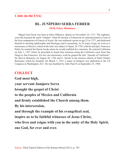## **1 July (in the USA)**

# **BL. JUNÍPERO SERRA FERRER**

**OFM, Priest, Missionary**

Miguel José Serra was born at Petra (Majorca, Spain) on November 24, 1713. The eighteenyear-old assumed the name "Juniper" when he became a Franciscan in commemoration of one of the first companions of Francis of Assisi. He was ordained a priest at age 23 in 1737, and dedicated himself to teaching (philosophy and theology) and to preaching. At 36 years of age, he went as a missionary to Mexico, which at the time was subject to Spain. In 1750, with his disciple, Francisco Palóu, he reached the Sierra Gorda where he would establish five missions. He entered California on July 1, 1767 where he proceded to found nine missions along the California coast from San Diego to San Francisco. For his vast missionary work he gained the title "Apostle of California". He died in Monterey on August 28, 1784 and is buried in the mission church of Saint Charles Borromeo which he founded. On March 1, 1931 a statue of Junípero was dedicated in the US Congress in Washington, D.C. He was beatified by John Paul II on September 25, 1988.

## **COLLECT**

**God most high, your servant Junípero Serra brought the gospel of Christ to the peoples of Mexico and California and firmly established the Church among them. By his intercession, and through the example of his evangelical zeal, inspire us to be faithful witnesses of Jesus Christ, who lives and reigns with you in the unity of the Holy Spirit, one God, for ever and ever.**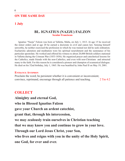#### **ON THE SAME DAY**

## **1 July**

#### **BL. IGNATIUS (NAZJU) FALZON Secular Franciscan**

Ignatius "Nazju" Falzon was born at Valletta, Malta, on July 1, 1813. At age 15 he received the minor orders and at age 20 he earned a doctorate in civil and canon law. Sensing himself unworthy, he neither exercised the profession in which he was trained nor did he seek ordination. Eucharistic adoration and meditation were his spiritual nourishment and the sustenance of his particular apostolate. He worked and offered his witness to about 20,000 British soldiers stationed in Valletta during the Crimean War (1853-1856). He organized prayer and catechetical lessons for the Catholics, made friends with the non-Catholics, and even with non-Christians and attracted many to the faith. For this reason he is considered a pioneer and champion of ecumenical dialogue. He died on his 52nd birthday, July 1, 1865. He was beatified by John Paul II on May 19, 2001.

#### **Entrance Antiphon**

Proclaim the word; be persistent whether it is convenient or inconvenient; convince, reprimand, encourage through all patience and teaching. 2 Tm 4:2

## **COLLECT**

**Almighty and eternal God, who in Blessed Ignatius Falzon gave your Church an ardent catechist, grant that, through his intercession, we may zealously train ourselves in Christian teaching that we may know you and continue to grow in your love. Through our Lord Jesus Christ, your Son, who lives and reigns with you in the unity of the Holy Spirit, one God, for ever and ever.**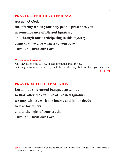**Accept, O God, the offering which your holy people present to you in remembrance of Blessed Ignatius, and through our participating in this mystery, grant that we give witness to your love. Through Christ our Lord.**

#### **Communion Antiphon**

May they all be one, as you, Father, are in me and I in you, that they also may be in us, that the world may believe that you sent me. Jn 17:21

# **PRAYER AFTER COMMUNION**

**Lord, may this sacred banquet sustain us so that, after the example of Blessed Ignatius, we may witness with our hearts and in our deeds to love for others and to the light of your truth. Through Christ our Lord.**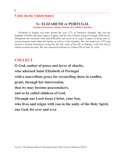## **5 July (In the United States)**

# **St. ELIZABETH of PORTUGAL**

**Secular Franciscan, Queen, Patron of Catholic Charities**

Elizabeth of Aragon was born around the year 1271 at Estremoz, Portugal. She was the daughter of Pedro, the future king of Aragon, and the wife of Denis, King of Portugal. With heroic abnegation she sustained trials and difficulties and acted as an angel of peace to bring calm to serious tensions both within her family as well as in the kingdom. She was widowed (1325) and became a Secular Franciscan, living the last few years of her life in dialogue with God and in charity towards the poor. She was canonized in Rome by Urban VIII on June 24, 1626.

# **COLLECT**

**O God, author of peace and lover of charity, who adorned Saint Elizabeth of Portugal with a marvellous grace for reconciling those in conflict, grant, through her intercession, that we may become peacemakers, and so be called children of God. Through our Lord Jesus Christ, your Son, who lives and reigns with you in the unity of the Holy Spirit, one God, for ever and ever.**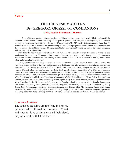# **THE CHINESE MARTYRS Bb. GREGORY GRASSI and COMPANIONS**

#### **OFM, Secular Franciscans, Martyrs**

Over a 300-year period, 120 missionaries and Chinese believers gave their lives in fidelity to Jesus Christ and the Catholic Church. In the fifth century the Gospel was preached in China, and at the beginning of the seventh century the first church was built there. During the T'ang dynasty (618-907) the Christian community flourished for two centuries. In the 13th, thanks to the understanding of the Chinese people and culture shown by missionaries like the Franciscan, John of Montecorvino, it became possible to begin the first Catholic mission in the Middle Kingdom, with the episcopal see in Beijing.

Unfortunately, however, the difficult question of "Chinese rites" greatly irritated the Emperor K'ang Hsi and precipitated the persecution. This persecution, strongly influenced by the one in nearby Japan, extended in successive waves from the first decade of the 17th century to about the middle of the 19th. Missionaries and lay faithful were killed and many churches destroyed.

Among the Franciscans who gave their lives for the faith were: St. John Lantrua of Triora, O.F.M., priest, who was put in prison together with others in the summer of 1815, and was later condemned to death and strangled on February 7, 1816. The Martyrs of Shanxi, killed on July 9, 1900, were Friars Minor: Gregory Grassi (Bishop), Francis Fogolla (Bishop), Elias Facchini (priest), Theodoric Balat (priest), Andrew Bauer (friar). The Martyrs of Southern Hunan were also Franciscans: Anthony Fantosati (Bishop, martyred on July 7, 1900), Joseph Mary Gambaro (priest, martyred on July 7, 1900), Cesidio Giacomantonio (priest, martyred on July 4, 1900). To the martyred Franciscans of the First Order were added seven Franciscan Missionaries of Mary: Mary Hermina of Jesus Grivot, Mary of Peace Giuliani, Mary Clare Nanetti, Mary of the Holy Birth Kerguin, Mary of St, Justus Moreau, Mary Adolphine Dierk and Mary Amandina Jeuris. Of the martyrs belonging to the Franciscan family, there were also 11 Secular Franciscans, all Chinese: John Zhang Huan (seminarian), Patrick Dong Bodi (seminarian), John Wang Rui (seminarian), Philip Zhang Zhihe (seminarian), John Zhang Jingguang (seminarian), Thomas Shen Jihe (layman), Simon Chen Ximan (lay catechist), Peter Wu Anbang (layman), Francis Zhang Rong (layman and farmer), Matthew Feng De (layman and neophyte), and Peter Zhang Banniu (layman and laborer). To these are joined a number of Chinese lay faithful.

#### Entrance Antiphon

The souls of the saints are rejoicing in heaven, the saints who followed the footsteps of Christ, and since for love of him they shed their blood, they now exult with Christ for ever.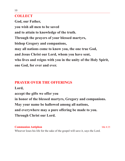# **COLLECT**

**God, our Father, you wish all men to be saved and to attain to knowledge of the truth. Through the prayers of your blessed martyrs, bishop Gregory and companions, may all nations come to know you, the one true God, and Jesus Christ our Lord, whom you have sent, who lives and reigns with you in the unity of the Holy Spirit, one God, for ever and ever.**

# **PRAYER OVER THE OFFERINGS**

**Lord, accept the gifts we offer you in honor of the blessed martyrs, Gregory and companions. May your name be hallowed among all nations, and everywhere may a pure offering be made to you. Through Christ our Lord.**

**Communion Antiphon** Mk 8:35 Whoever loses his life for the sake of the gospel will save it, says the Lord.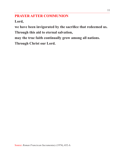# **PRAYER AFTER COMMUNION**

**Lord,**

**we have been invigorated by the sacrifice that redeemed us.**

**Through this aid to eternal salvation,**

**may the true faith continually grow among all nations.**

**Through Christ our Lord.**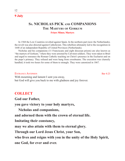# **Ss. NICHOLAS PICK and COMPANIONS The Martyrs of Gorkum**

#### **Friars Minor, Martyrs**

In 1568 the Low Countries revolted against Spain. In the northern part (now the Netherlands), the revolt was also directed against Catholicism. This rebellion ultimately led to the recognition in 1648 of an independent Republic of United Provinces (Netherlands).

Nicholas and his companions (11 Franciscans and eight diocesan priests) are also known as "the martyrs of Gorkum," where they were arrested by Calvinist soldiers. They were taken to Briel and urged to renounce the Roman Catholic teaching on Christ's presence in the Eucharist and on the pope's primacy. They refused and were hung from crossbeams. The execution was clumsily handled; it took two hours for some of them to strangle. They were canonized in 1867.

ENTRANCE ANTIPHON BAR 4:23 With mourning and lament I sent you away, but God will give you back to me with gladness and joy forever.

## **COLLECT**

**God our Father,**

**you gave victory to your holy martyrs,**

**Nicholas and companions,**

**and adorned them with the crown of eternal life.**

**Imitating their constancy,**

**may we also attain with them to eternal glory.**

**Through our Lord Jesus Christ, your Son,**

**who lives and reigns with you in the unity of the Holy Spirit, one God, for ever and ever.**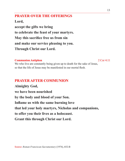**Lord, accept the gifts we bring to celebrate the feast of your martyrs. May this sacrifice free us from sin and make our service pleasing to you. Through Christ our Lord.**

#### **Communion Antiphon** 2 Cor 4:11

We who live are constantly being given up to death for the sake of Jesus, so that the life of Jesus may be manifested in our mortal flesh.

# **PRAYER AFTER COMMUNION**

**Almighty God, we have been nourished by the body and blood of your Son. Inflame us with the same burning love that led your holy martyrs, Nicholas and companions, to offer you their lives as a holocaust. Grant this through Christ our Lord.**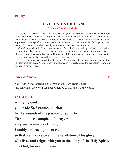# **St. VERONICA GIULIANI**

#### **Capuchin Poor Clare, virgin**

Veronica was born in Mercatelli, Italy. At the age of 17, Veronica joined the Capuchin Poor Clares. Her father had wanted her to marry, but she convinced him to allow her to become a nun. In her first years in the monastery, she worked in the kitchen, infirmary and sacristy and also served as portress. At the age of 34, she was made novice mistress, a position she held for 22 years. When she was 37, Veronica received the stigmata. Life was not the same after that.

Church authorities in Rome wanted to test Veronica's authenticity and so conducted an investigation. She lost the office of novice mistress temporarily and was not allowed to attend Mass except on Sundays or holy days. Through all of this Veronica did not become bitter, and the investigation eventually restored her as novice mistress.

Though she protested against it, at the age of 56 she was elected abbess, an office she held for 11 years until her death. Veronica was very devoted to the Eucharist and to the Sacred Heart. She was canonized in 1839.

#### ENTRANCE ANTIPHON GAL 6:14

May I never boast except in the cross of our Lord Jesus Christ, through which the world has been crucified to me, and I to the world.

## **COLLECT**

**Almighty God, you made St. Veronica glorious by the wounds of the passion of your Son. Through her example and prayers, may we become like Christ, humbly embracing the cross so that we may rejoice in the revelation of his glory, who lives and reigns with you in the unity of the Holy Spirit, one God, for ever and ever.**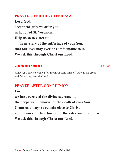**Lord God, accept the gifts we offer you in honor of St. Veronica. Help us so to venerate the mystery of the sufferings of your Son, that our lives may ever be comformable to it. We ask this through Christ our Lord.**

#### **Communion Antiphon** Mt 16:24

Whoever wishes to come after me must deny himself, take up his cross, and follow me, says the Lord.

# **PRAYER AFTER COMMUNION**

## **Lord,**

**we have received the divine sacrament, the perpetual memorial of the death of your Son. Grant us always to remain close to Christ and to work in the Church for the salvation of all men. We ask this through Christ our Lord.**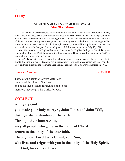#### **Ss. JOHN JONES and JOHN WALL Friars Minor, Martyrs**

These two friars were martyred in England in the 16th and 17th centuries for refusing to deny their faith. John Jones was Welsh. He was ordained a diocesan priest and was twice imprisoned for administering the sacraments before leaving England in 1590. He joined the Franciscans at the age of 60 and returned to England three years later while Queen Elizabeth I was at the height of her power. John ministered to Catholics in the English countryside until his imprisonment in 1596. He was condemned to be hanged, drawn and quartered. John was executed on July 12, 1598.

John Wall was born in England but was educated at the English College of Douai, Belgium. Ordained in Rome in 1648, he entered the Franciscans in Douai several years later. In 1656 he returned to work secretly in England.

In 1678 Titus Oates worked many English people into a frenzy over an alleged papal plot to murder the king and restore Catholicism in that country. John Wall was arrested and imprisoned in 1678 and was executed the following year. John Jones and John Wall were canonized in 1970.

#### ENTRANCE ANTIPHON See Ry 12:11

These are the saints who were victorious because of the blood of the Lamb, and in the face of death refused to cling to life; therefore they reign with Christ for ever.

# **COLLECT**

**Almighty God,**

**you made your holy martyrs, John Jones and John Wall,**

**distinguished defenders of the faith.**

**Through their intercession,**

**may all people who glory in the name of Christ**

**return to the unity of the true faith.**

**Through our Lord Jesus Christ, your Son,**

**who lives and reigns with you in the unity of the Holy Spirit, one God, for ever and ever.**

16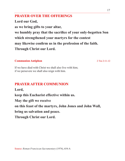**Lord our God, as we bring gifts to your altar, we humbly pray that the sacrifice of your only-begotten Son which strengthened your martyrs for the contest may likewise confirm us in the profession of the faith. Through Christ our Lord.**

## **Communion Antiphon** 2 Tm 2:11-12

If we have died with Christ we shall also live with him; if we persevere we shall also reign with him.

# **PRAYER AFTER COMMUNION**

**Lord,**

**keep this Eucharist effective within us.**

**May the gift we receive**

**on this feast of the martyrs, John Jones and John Wall,**

**bring us salvation and peace.**

**Through Christ our Lord.**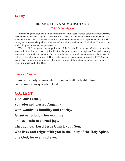# **Bl. ANGELINA of MARSCIANO**

#### **Third Order religious**

Blessed Angelina founded the first community of Franciscan women other than Poor Clares to receive papal approval. Angelina was born to the Duke of Marsciano (near Orvieto). She was 12 when her mother died. Three years later the young woman made a vow of perpetual chastity. That same year, however, she yielded to her father's decision that she marry the Duke of Civitella. Her husband agreed to respect her previous vow.

When he died two years later, Angelina joined the Secular Franciscans and with several other women dedicated herself to caring for the sick, the poor, widows and orphans. Many other young women were attracted to Angelina's community. Angelina and her companions later went to Foligno, where her community of Third Order sisters received papal approval in 1397. She soon established 15 similar communities of women in other Italian cities. Angelina died on July 14, 1435, and was beatified in 1825.

#### Entrance Antiphon

Praise to the holy woman whose home is built on faithful love and whose pathway leads to God.

## **COLLECT**

**God, our Father, you adorned blessed Angelina with wondrous humility and charity. Grant us to follow her example and so attain to eternal joys. Through our Lord Jesus Christ, your Son, who lives and reigns with you in the unity of the Holy Spirit, one God, for ever and ever.**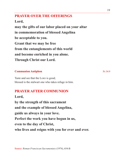**Lord,**

**may the gifts of our labor placed on your altar in commemoration of blessed Angelina be acceptable to you. Grant that we may be free from the entanglements of this world and become enriched in you alone. Through Christ our Lord.**

## **Communion Antiphon** Ps 34:9

Taste and see that the Lord is good; blessed is the stalwart one who takes refuge in him.

# **PRAYER AFTER COMMUNION**

**Lord,**

**by the strength of this sacrament and the example of blessed Angelina, guide us always in your love. Perfect the work you have begun in us, even to the day of Christ, who lives and reigns with you for ever and ever.**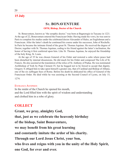## **St. BONAVENTURE**

#### **OFM, Bishop, Doctor of the Church**

St. Bonaventure, known as "the seraphic doctor," was born at Bagnoregio in Tuscany in 1221. At the age of 22, Bonaventure entered the Franciscan Order. Having made his vows, he was sent to Paris to complete his studies under the celebrated doctor Alexander of Hales, an Englishman and a Franciscan. After the latter's death he continued his course under his successor, John of Rochelle. In Paris he became the intimate friend of the great St. Thomas Aquinas. He received the degree of Doctor, together with St. Thomas Aquinas, ceding to his friend against the latter's inclination, the honor of having it first conferred upon him. Like St. Thomas Aquinas, he enjoyed the friendship of the holy King, St. Louis.

At the age of 35 he was chosen General of his Order and restored a calm where peace had been disturbed by internal dissensions. He did much for his Order and composed The Life of St. Francis. He also assisted at the translation of the relics of St. Anthony of Padua. He was nominated Archbishop of York by Pope Clement IV, but he begged not to be forced to accept that dignity. Gregory X obliged him to take upon himself a greater one, that of Cardinal and Bishop of Albano, one of the six suffragan Sees of Rome. Before his death he abdicated his office of General of the Franciscan Order. He died while he was assisting at the Second Council of Lyons, on July 15, 1274.

#### ENTRANCE ANTIPHON

In the midst of the Church he opened his mouth, and the Lord filled him with the spirit of wisdom and understanding and clothed him in a robe of glory.

## **COLLECT**

**Grant, we pray, almighty God,**

**that, just as we celebrate the heavenly birthday**

**of the bishop, Saint Bonaventure,**

**we may benefit from his great learning**

**and constantly imitate the ardor of his charity.**

**Through our Lord Jesus Christ, your Son,**

**who lives and reigns with you in the unity of the Holy Spirit, one God, for ever and ever.**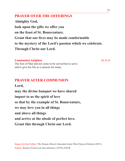**Almighty God, look upon the gifts we offer you on the feast of St. Bonaventure. Grant that our lives may be made comformable to the mystery of the Lord's passion which we celebrate. Through Christ our Lord.**

#### **Communion Antiphon** Mt 20:28

The Son of Man did not come to be served but to serve and to give his life as a ransom for many.

# **PRAYER AFTER COMMUNION**

**Lord, may the divine banquet we have shared impart to us the spirit of love so that by the example of St. Bonaventure, we may love you in all things and above all things and arrive at the abode of perfect love. Grant this through Christ our Lord.**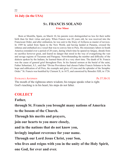#### **16 July (in the USA)**

## **St. FRANCIS SOLANO Friar Minor**

Born at Montilla, Spain, on March 10, his parents were distinguished no less for their noble birth than for their virtue and piety. When Francis was 20 years old, he was received into the Franciscan Order, and after ordination, he was sent to the friary of Arifazza as master of novices. In 1589 he sailed from Spain to the New World, and having landed at Panama, crossed the isthmus and embarked on a vessel that was to convey him to Peru. His missionary labors in South America extended over a period of 20 years, during which time he spared no fatigue, shrank from no sacrifice however great, and feared no danger that stood in the way of evangelizing the vast and savage regions of Tucuman and Paraguay. Notwithstanding the number and difficulty of the dialects spoken by the Indians, he learned them all in a very short time. The death of St. Francis was the cause of general grief throughout Peru. In his funeral sermon at the burial of the saint, Father Sebastiani, S.J., said that "Divine Providence had chosen Father Francis Solanus to be the hope and edification of all Peru, the example and glory of Lima and the splendor of the Seraphic Order." St. Francis was beatified by Clement X, in 1675, and canonized by Benedict XIII, in 1726.

#### ENTRANCE ANTIPHON Ps 37:30-31

The mouth of the righteous utters wisdom; his tongue speaks what is right. God's teaching is in his heart; his steps do not falter.

## **COLLECT**

**Father,**

**through St. Francis you brought many nations of America**

**to the bosom of the Church.**

**Through his merits and prayers,**

**join our hearts to you more closely,**

**and in the nations that do not know you,**

**lovingly implant reverence for your name.**

**Through our Lord Jesus Christ, your Son,**

**who lives and reigns with you in the unity of the Holy Spirit, one God, for ever and ever.**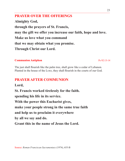**Almighty God, through the prayers of St. Francis, may the gift we offer you increase our faith, hope and love. Make us love what you command that we may obtain what you promise. Through Christ our Lord.**

## **Communion Antiphon** Ps 92:13-14

The just shall flourish like the palm tree, shall grow like a cedar of Lebanon. Planted in the house of the LORD, they shall flourish in the courts of our God.

# **PRAYER AFTER COMMUNION**

**Lord,**

**St. Francis worked tirelessly for the faith.**

**spending his life in its service.**

**With the power this Eucharist gives,**

**make your people strong in the same true faith**

**and help us to proclaim it everywhere**

**by all we say and do.**

**Grant this in the name of Jesus the Lord.**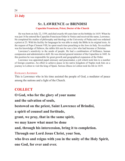# **St. LAWRENCE of BRINDISI**

#### **Capuchin Franciscan, Priest, Doctor of the Church**

He was born on July 22, 1559, and died exactly 60 years later on his birthday in 1619. When he was just 16 he entered the Capuchin Franciscan Order in Venice and received the name, Lawrence. He completed his studies of philosophy and theology at the University of Padua and was ordained a priest at 23. With his facility for languages he was able to study the Bible in its original texts. At the request of Pope Clement VIII, he spent much time preaching to the Jews in Italy. So excellent was his knowledge of Hebrew, the rabbis felt sure he was a Jew who had become a Christian.

Lawrence's sensitivity to the needs of people. He had a combination of brilliance, human compassion and administrative skill. He was elected general minister of the Capuchins in 1602. In this position he was responsible for great growth and geographical expansion of the Order.

Lawrence was appointed papal emissary and peacemaker, a job which took him to a number of foreign countries. An effort to achieve peace in his native kingdom of Naples took him on a journey to Lisbon to visit the king of Spain. Serious illness in Lisbon took his life in 1619.

#### ENTRANCE ANTIPHON

This is Lawrence who in his time assisted the people of God, a mediator of peace among the nations and a light of the Church.

## **COLLECT**

**O God, who for the glory of your name**

**and the salvation of souls,**

**bestowed on the priest, Saint Lawrence of Brindisi,**

**a spirit of counsel and fortitude,**

**grant, we pray, that in the same spirit,**

**we may know what must be done**

**and, through his intercession, bring it to completion.**

**Through our Lord Jesus Christ, your Son,**

**who lives and reigns with you in the unity of the Holy Spirit, one God, for ever and ever.**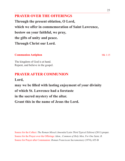**Through the present oblation, O Lord, which we offer in commemoration of Saint Lawrence, bestow on your faithful, we pray, the gifts of unity and peace. Through Christ our Lord.**

#### **Communion Antiphon** Mk 1:15

The kingdom of God is at hand. Repent, and believe in the gospel.

# **PRAYER AFTER COMMUNION**

**Lord,**

**may we be filled with lasting enjoyment of your divinity of which St. Lawrence had a foretaste in the sacred mystery of the altar. Grant this in the name of Jesus the Lord.**

Source for the Collect: *The Roman Missal (Amended Latin Third Typical Edition)* (2011) proper. Source for the Prayer over the Offerings: *Idem., Common of Holy Men, For One Saint, B*. Source for Prayer after Communion: *Roman Franciscan Sacramentary* (1974), 655-B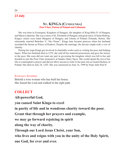#### **St. KINGA (Cunegunda) Poor Clare, Patron of Poland and Lithuania**

She was born in Esztergom, Kingdom of Hungary, the daughter of King Béla IV of Hungary and Maria Laskarina. She was a niece of St. Elizabeth of Hungary and great-niece of Saint Hedwig. Kinga's sisters were Saint Margaret of Hungary and Jolenta of Poland (Yolanda, Helen). She reluctantly married Bolesław V, "the Chaste". Kinga later became princess when her husband ascended the throne as Prince of Krakow. Despite the marriage, the devout couple took a vow of chastity.

During her reign Kinga got involved in charitable works such as visiting the poor and helping lepers. When her husband died in 1279, she sold all her material possessions and gave the money to the poor. She soon did not want any part in governing the kingdom which was left to her and decided to join the Poor Clare monastery at Sandec (Stary Sącz). She would spend the rest of her life in contemplative prayer and did not allow anyone to refer to her past role as Grand Duchess of Poland. She died on July 24, 1292. She was canonized on June 16, 1999 by Pope John Paul II.

#### ENTRANCE ANTIPHON

Behold a wise woman who has built her house. She feared the Lord and walked in the right path.

## **COLLECT**

**All-powerful God, you caused Saint Kinga to excel in purity of life and in wondrous charity toward the poor. Grant that through her prayers and example, we may go forward rejoicing in spirit along the way of charity. Through our Lord Jesus Christ, your Son, who lives and reigns with you in the unity of the Holy Spirit, one God, for ever and ever.**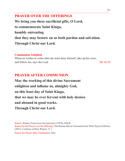**We bring you these sacrificial gifts, O Lord, to commemorate Saint Kinga, humbly entreating that they may bestow on us both pardon and salvation. Through Christ our Lord.**

#### **Communion Antiphon**

Whoever wishes to come after me must deny himself, take up his cross, and follow me, says the Lord. Mt 16:24

# **PRAYER AFTER COMMUNION**

**May the working of this divine Sacrament enlighten and inflame us, almighty God, on this feast day of Saint Kinga, that we may be ever fervent with holy desires and abound in good works. Through Christ our Lord.**

Source: *Roman Franciscan Sacramentary* (1974), 658-B Source for the Prayer over the Offerings: *The Roman Missal (Amended Latin Third Typical Edition)* (2011)*, Common of Holy Women,* V, 1

Source for Prayer after Communion: *Ibid.*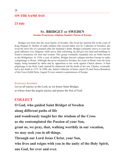#### **ON THE SAME DAY**

#### **23 July**

#### **St. BRIDGET of SWEDEN Secular Franciscan, religious founder, Patron of Europe**

Bridget was born into the royal family of Sweden. She lived her married life in the court of King Magnus II. Mother of eight children (the second eldest was St. Catherine of Sweden), she lived the strict life of a penitent after her husband's death. Bridget constantly strove to exert her good influence over Magnus; while never fully reforming, he did give her land and buildings to found a monastery for men and women. This group eventually expanded into an Order known as the Bridgetines. In 1350, a year of jubilee, Bridget braved a plague-stricken Europe to make a pilgrimage to Rome. Although she never returned to Sweden, her years in Rome were far from happy, being hounded by debts and by opposition to her work against Church abuses. A final pilgrimage to the Holy Land, marred by shipwreck and the death of her son, Charles, eventually led to her death in 1373. In 1999, she, Saints Catherine of Siena (April 29) and Teresa Benedicta of the Cross (Edith Stein, August 9) were named co-patronesses of Europe.

#### ENTRANCE ANTIPHON

Let us all rejoice in the Lord, as we honor Saint Bridget, at whose feast the angels rejoice and praise the Son of God.

### **COLLECT**

**O God, who guided Saint Bridget of Sweden along different paths of life and wondrously taught her the wisdom of the Cross**

**as she contemplated the Passion of your Son,**

**grant us, we pray, that, walking worthily in our vocation,**

**we may seek you in all things.**

**Through our Lord Jesus Christ, your Son,**

**who lives and reigns with you in the unity of the Holy Spirit, one God, for ever and ever.**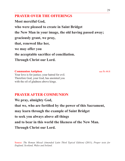**Most merciful God, who were pleased to create in Saint Bridget the New Man in your image, the old having passed away; graciously grant, we pray, that, renewed like her, we may offer you the acceptable sacrifice of conciliation. Through Christ our Lord.**

#### **Communion Antiphon** see Ps 44:8

Your love is for justice; your hatred for evil. Therefore God, your God, has anointed you with the oil of gladness above kings.

# **PRAYER AFTER COMMUNION**

**We pray, almighty God, that we, who are fortified by the power of this Sacrament, may learn through the example of Saint Bridget to seek you always above all things and to bear in this world the likeness of the New Man. Through Christ our Lord.**

Source: *The Roman Missal (Amended Latin Third Typical Edition)* (2011)*, Proper texts for England, Scotland, Wales and Ireland*.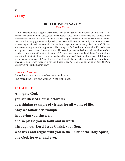#### **Bl. LOUISE of SAVOY Poor Clares**

On December 28, a daughter was born to the Duke of Savoy and the sister of King Louis XI of France. The child, named Louise, was to distinguish herself by her innocence and holiness rather than by any worldly status. As a youngster she was deeply devoted to prayer and solitude. Although she wore the costly garments and jewelry that went with one of her rank, she quietly insisted on wearing a haircloth underneath. Her uncle arranged for her to marry the Prince of Chalon, a virtuous young man who appreciated his young wife's devotion to simplicity. Excessiveness and opulence were absent from their court. The couple persuaded both the ladies and men of the court to follow a more Christian life. At age 27 Louise lost her husband and thereafter retired to a more simple life that allowed her to devote herself to works of charity and penance. Childless, she chose to enter a convent of Poor Clares at Orbe. Though she proved to be a model of humility and obedience, Louise was felled by a serious illness at age 42. God took her home on July 24. Pope Gregory XVI beatified her in 1839.

#### Entrance Antiphon

Behold a wise woman who has built her house. She feared the Lord and walked in the right path.

## **COLLECT**

**Almighty God, you set Blessed Louise before us as a shining example of virtues for all walks of life. May we follow her example in obeying you sincerely and so please you in faith and in work. Through our Lord Jesus Christ, your Son, who lives and reigns with you in the unity of the Holy Spirit, one God, for ever and ever.**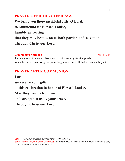**We bring you these sacrificial gifts, O Lord, to commemorate Blessed Louise, humbly entreating that they may bestow on us both pardon and salvation. Through Christ our Lord.**

#### **Communion Antiphon** Mt 13:45-46

The kingdom of heaven is like a merchant searching for fine pearls. When he finds a pearl of great price, he goes and sells all that he has and buys it.

# **PRAYER AFTER COMMUNION**

**Lord, we receive your gifts at this celebration in honor of Blessed Louise. May they free us from sin and strengthen us by your grace. Through Christ our Lord.**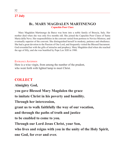## **Bl. MARY MAGDALEN MARTINENGO Capuchin Poor Clare**

Mary Magdalen Martinengo da Barco was born into a noble family of Brescia, Italy. Her mother died when she was only five months old. She joined the Capuchin Poor Clares of Santa Maria della Neve. Her responsibilities in the convent varied from portress to Novice Mistress, and eventually superior of the convent. She distinguished herself in modesty, patience and obedience. She had a great devotion to the Passion of Our Lord, and frequently visited the Blessed Sacrament. God rewarded her with the gifts of miracles and prophecy. Mary Magdalen died when she reached the age of fifty, and she was beatified by Pope Leo XIII in 1900.

#### ENTRANCE ANTIPHON

Here is a wise virgin, from among the number of the prudent, who went forth with lighted lamp to meet Christ.

## **COLLECT**

**Almighty God,**

**you gave Blessed Mary Magdalen the grace**

**to imitate Christ in his poverty and humility.**

**Through her intercession,**

**grant us to walk faithfully the way of our vocation,**

**and through the paths of truth and justice**

**to be enabled to come to you.**

**Through our Lord Jesus Christ, your Son,**

**who lives and reigns with you in the unity of the Holy Spirit,**

**one God, for ever and ever.**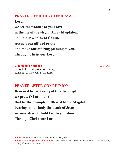**Lord,**

**we see the wonder of your love in the life of the virgin, Mary Magdalen, and in her witness to Christ. Accepts our gifts of praise and make our offering pleasing to you. Through Christ our Lord.**

#### **Communion Antiphon** see Mt 25:6

Behold, the Bridegroom is coming; come out to meet Christ the Lord.

# **PRAYER AFTER COMMUNION**

**Renewed by partaking of this divine gift, we pray, O Lord our God, that by the example of Blessed Mary Magdalen, bearing in our body the death of Jesus, we may strive to hold fast to you alone. Through Christ our Lord.**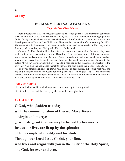# **Bl. MARY TERESA KOWALSKA**

**Capuchin Poor Clare, Martyr**

Born at Warsaw in 1902, Mieczyslawa sensed a call to religious life. She entered the convent of the Capuchin Poor Clares at Przasnysa on January 23, 1923, with the intent of making reparation for her family which had become permeated with the spirit of atheism. At her investiture, she took the religious name Teresa of the Child Jesus. She made her perpetual profession on July 26, 1928. She served God in the convent with devotion and care as doorkeeper, sacristan, librarian, novice director, and councillor, and distinguished herself for her zeal.

On April 2, 1941, Nazi soldiers burst into the cloister and arrested all 36 nuns. They were hauled off to the concentration camp of Dzialdowo. They suffered from a filthy environment, severe hunger, and continual terror. Sr. Mary Teresa's already frail health worsened, but no medical attention was given her. In great pain, and knowing that death was imminent, she said to her sisters: "I will not leave here alive; I offer my life in sacrifice so that the sisters might return to the convent." And then she abandoned herself to prayer. She died during the night of July 25, 1941. Her body was removed and no one knows what became of her remains. In keeping with what she had told the sisters earlier, two weeks following her death – on August 7, 1941 - the nuns were liberated from the death camp of Dzialdowo. She was beatified with other Polish martyrs of the Nazi persecution by Pope John Paul II in Warsaw on June 13, 1999.

#### Entrance Antiphon

He humbled himself in all things and found mercy in the sight of God. Great is the power of the Lord; by the humble he is glorified.

## **COLLECT**

**O God, who gladden us today**

**with the commemoration of Blessed Mary Teresa,**

## **virgin and martyr,**

**graciously grant that we may be helped by her merits,**

**just as our lives are lit up by the splendor**

**of her example of chastity and fortitude**

**Through our Lord Jesus Christ, your Son,**

**who lives and reigns with you in the unity of the Holy Spirit, one God, for ever and ever.**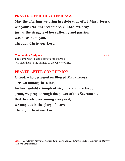**May the offerings we bring in celebration of Bl. Mary Teresa, win your gracious acceptance, O Lord, we pray, just as the struggle of her suffering and passion was pleasing to you. Through Christ our Lord.**

#### **Communion Antiphon** Rv 7:17

The Lamb who is at the center of the throne will lead them to the springs of the waters of life.

# **PRAYER AFTER COMMUNION**

**O God, who bestowed on Blessed Mary Teresa a crown among the saints, for her twofold triumph of virginity and martyrdom, grant, we pray, through the power of this Sacrament, that, bravely overcoming every evil, we may attain the glory of heaven. Through Christ our Lord.**

Source: *The Roman Missal (Amended Latin Third Typical Edition)* (2011)*, Common of Martyrs,*  IV, For a virgin martyr.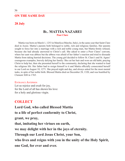#### **ON THE SAME DAY**

#### **28 July**

#### **Bl. MATTIA NAZAREI Poor Clare**

Mattia was born on March 1, 1253 in Matelica (Marche, Italy), in the same year that Saint Clare died in Assisi. Mattia's parents both belonged to noble, rich and religious families. Her parents sought to force her into a marriage with a rich and noble young man, but Mattia firmly refused, because she had already answered to Christ's call. She asked to enter a Poor Clares' convent, where her aunt was abbess but the abbess was afraid of her father's reaction and tried to dissuade Mattia from taking hurried decisions. The young girl decided to follow St. Clare's and St. Agnes' courageous examples, bravely defying her family: She cut her hair and wore an old habit, praying Christ to help her, then she presented herself to the community, declaring that she wanted to lead the religious life. Her father had to resign himself to it and Mattia officially consecrated herself to our Lord on August 10, 1271. She prayed night and day, and always asked for the most menial tasks, in spite of her noble birth. Blessed Mattia died on December 28, 1320, and was beatified by Clement XIII in 1765.

#### Entrance Antiphon

Let us rejoice and exult for joy, for the Lord of all has shown his love for a holy and glorious virgin.

## **COLLECT**

**Lord God, who called Blessed Mattia to a life of perfect conformity to Christ, grant, we pray, that, imitating her virtues on earth, we may delight with her in the joys of eternity. Through our Lord Jesus Christ, your Son, who lives and reigns with you in the unity of the Holy Spirit, one God, for ever and ever.**